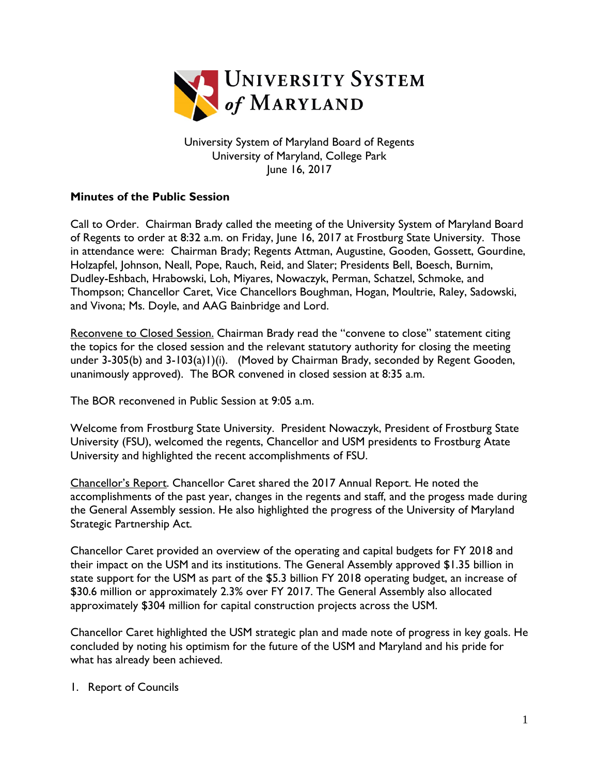

University System of Maryland Board of Regents University of Maryland, College Park June 16, 2017

## **Minutes of the Public Session**

Call to Order. Chairman Brady called the meeting of the University System of Maryland Board of Regents to order at 8:32 a.m. on Friday, June 16, 2017 at Frostburg State University. Those in attendance were: Chairman Brady; Regents Attman, Augustine, Gooden, Gossett, Gourdine, Holzapfel, Johnson, Neall, Pope, Rauch, Reid, and Slater; Presidents Bell, Boesch, Burnim, Dudley-Eshbach, Hrabowski, Loh, Miyares, Nowaczyk, Perman, Schatzel, Schmoke, and Thompson; Chancellor Caret, Vice Chancellors Boughman, Hogan, Moultrie, Raley, Sadowski, and Vivona; Ms. Doyle, and AAG Bainbridge and Lord.

Reconvene to Closed Session. Chairman Brady read the "convene to close" statement citing the topics for the closed session and the relevant statutory authority for closing the meeting under 3-305(b) and 3-103(a)1)(i). (Moved by Chairman Brady, seconded by Regent Gooden, unanimously approved). The BOR convened in closed session at 8:35 a.m.

The BOR reconvened in Public Session at 9:05 a.m.

Welcome from Frostburg State University. President Nowaczyk, President of Frostburg State University (FSU), welcomed the regents, Chancellor and USM presidents to Frostburg Atate University and highlighted the recent accomplishments of FSU.

Chancellor's Report. Chancellor Caret shared the 2017 Annual Report. He noted the accomplishments of the past year, changes in the regents and staff, and the progess made during the General Assembly session. He also highlighted the progress of the University of Maryland Strategic Partnership Act.

Chancellor Caret provided an overview of the operating and capital budgets for FY 2018 and their impact on the USM and its institutions. The General Assembly approved \$1.35 billion in state support for the USM as part of the \$5.3 billion FY 2018 operating budget, an increase of \$30.6 million or approximately 2.3% over FY 2017. The General Assembly also allocated approximately \$304 million for capital construction projects across the USM.

Chancellor Caret highlighted the USM strategic plan and made note of progress in key goals. He concluded by noting his optimism for the future of the USM and Maryland and his pride for what has already been achieved.

## 1. Report of Councils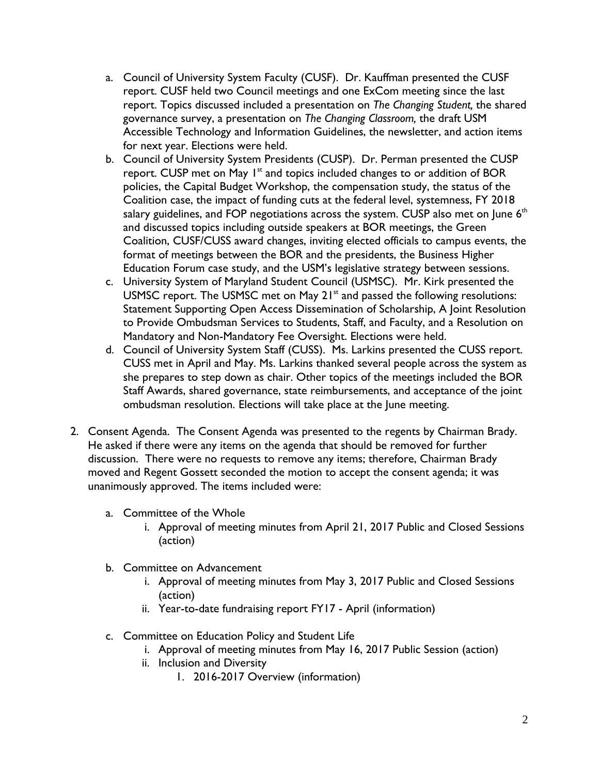- a. Council of University System Faculty (CUSF). Dr. Kauffman presented the CUSF report. CUSF held two Council meetings and one ExCom meeting since the last report. Topics discussed included a presentation on *The Changing Student,* the shared governance survey, a presentation on *The Changing Classroom,* the draft USM Accessible Technology and Information Guidelines, the newsletter, and action items for next year. Elections were held.
- b. Council of University System Presidents (CUSP). Dr. Perman presented the CUSP report. CUSP met on May  $I<sup>st</sup>$  and topics included changes to or addition of BOR policies, the Capital Budget Workshop, the compensation study, the status of the Coalition case, the impact of funding cuts at the federal level, systemness, FY 2018 salary guidelines, and FOP negotiations across the system. CUSP also met on June  $6<sup>th</sup>$ and discussed topics including outside speakers at BOR meetings, the Green Coalition, CUSF/CUSS award changes, inviting elected officials to campus events, the format of meetings between the BOR and the presidents, the Business Higher Education Forum case study, and the USM's legislative strategy between sessions.
- c. University System of Maryland Student Council (USMSC). Mr. Kirk presented the USMSC report. The USMSC met on May 21<sup>st</sup> and passed the following resolutions: Statement Supporting Open Access Dissemination of Scholarship, A Joint Resolution to Provide Ombudsman Services to Students, Staff, and Faculty, and a Resolution on Mandatory and Non-Mandatory Fee Oversight. Elections were held.
- d. Council of University System Staff (CUSS). Ms. Larkins presented the CUSS report. CUSS met in April and May. Ms. Larkins thanked several people across the system as she prepares to step down as chair. Other topics of the meetings included the BOR Staff Awards, shared governance, state reimbursements, and acceptance of the joint ombudsman resolution. Elections will take place at the June meeting.
- 2. Consent Agenda. The Consent Agenda was presented to the regents by Chairman Brady. He asked if there were any items on the agenda that should be removed for further discussion. There were no requests to remove any items; therefore, Chairman Brady moved and Regent Gossett seconded the motion to accept the consent agenda; it was unanimously approved. The items included were:
	- a. Committee of the Whole
		- i. Approval of meeting minutes from April 21, 2017 Public and Closed Sessions (action)
	- b. Committee on Advancement
		- i. Approval of meeting minutes from May 3, 2017 Public and Closed Sessions (action)
		- ii. Year-to-date fundraising report FY17 April (information)
	- c. Committee on Education Policy and Student Life
		- i. Approval of meeting minutes from May 16, 2017 Public Session (action)
		- ii. Inclusion and Diversity
			- 1. 2016-2017 Overview (information)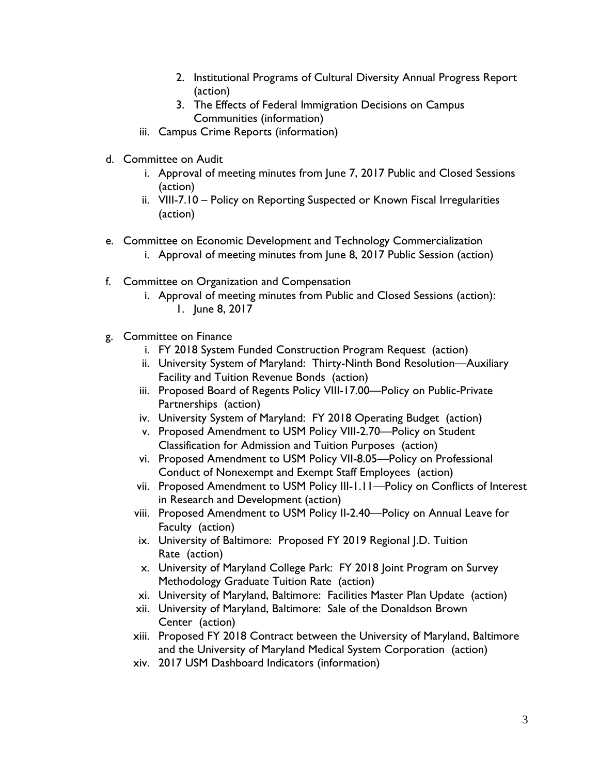- 2. Institutional Programs of Cultural Diversity Annual Progress Report (action)
- 3. The Effects of Federal Immigration Decisions on Campus Communities (information)
- iii. Campus Crime Reports (information)
- d. Committee on Audit
	- i. Approval of meeting minutes from June 7, 2017 Public and Closed Sessions (action)
	- ii. VIII-7.10 Policy on Reporting Suspected or Known Fiscal Irregularities (action)
- e. Committee on Economic Development and Technology Commercialization i. Approval of meeting minutes from June 8, 2017 Public Session (action)
- f. Committee on Organization and Compensation
	- i. Approval of meeting minutes from Public and Closed Sessions (action): 1. June 8, 2017
- g. Committee on Finance
	- i. FY 2018 System Funded Construction Program Request (action)
	- ii. University System of Maryland: Thirty-Ninth Bond Resolution—Auxiliary Facility and Tuition Revenue Bonds (action)
	- iii. Proposed Board of Regents Policy VIII-17.00—Policy on Public-Private Partnerships (action)
	- iv. University System of Maryland: FY 2018 Operating Budget (action)
	- v. Proposed Amendment to USM Policy VIII-2.70—Policy on Student Classification for Admission and Tuition Purposes (action)
	- vi. Proposed Amendment to USM Policy VII-8.05—Policy on Professional Conduct of Nonexempt and Exempt Staff Employees (action)
	- vii. Proposed Amendment to USM Policy III-1.11—Policy on Conflicts of Interest in Research and Development (action)
	- viii. Proposed Amendment to USM Policy II-2.40—Policy on Annual Leave for Faculty (action)
	- ix. University of Baltimore: Proposed FY 2019 Regional J.D. Tuition Rate (action)
	- x. University of Maryland College Park: FY 2018 Joint Program on Survey Methodology Graduate Tuition Rate (action)
	- xi. University of Maryland, Baltimore: Facilities Master Plan Update (action)
	- xii. University of Maryland, Baltimore: Sale of the Donaldson Brown Center (action)
	- xiii. Proposed FY 2018 Contract between the University of Maryland, Baltimore and the University of Maryland Medical System Corporation (action)
	- xiv. 2017 USM Dashboard Indicators (information)